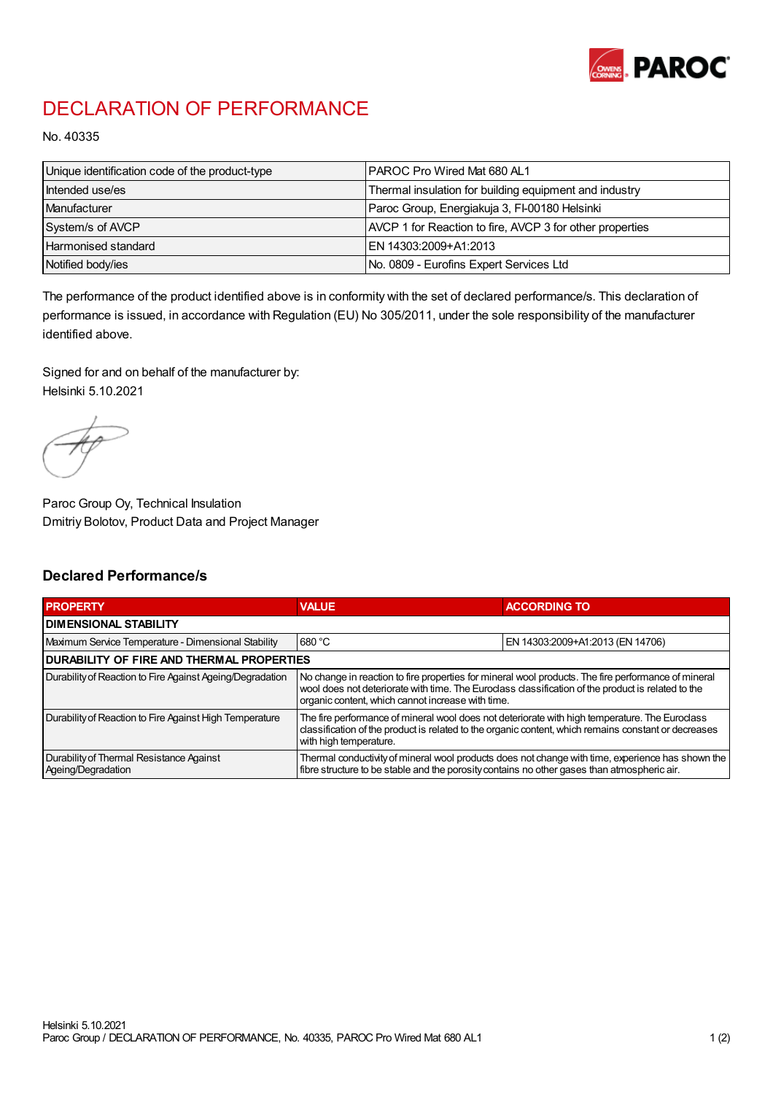

## DECLARATION OF PERFORMANCE

No. 40335

| Unique identification code of the product-type | IPAROC Pro Wired Mat 680 AL1                             |
|------------------------------------------------|----------------------------------------------------------|
| Intended use/es                                | Thermal insulation for building equipment and industry   |
| Manufacturer                                   | Paroc Group, Energiakuja 3, FI-00180 Helsinki            |
| System/s of AVCP                               | AVCP 1 for Reaction to fire, AVCP 3 for other properties |
| Harmonised standard                            | IEN 14303:2009+A1:2013                                   |
| Notified body/ies                              | No. 0809 - Eurofins Expert Services Ltd                  |

The performance of the product identified above is in conformity with the set of declared performance/s. This declaration of performance is issued, in accordance with Regulation (EU) No 305/2011, under the sole responsibility of the manufacturer identified above.

Signed for and on behalf of the manufacturer by: Helsinki 5.10.2021

Paroc Group Oy, Technical Insulation Dmitriy Bolotov, Product Data and Project Manager

## Declared Performance/s

| <b>PROPERTY</b>                                                | <b>VALUE</b>                                                                                                                                                                                                                                                   | <b>ACCORDING TO.</b>             |  |
|----------------------------------------------------------------|----------------------------------------------------------------------------------------------------------------------------------------------------------------------------------------------------------------------------------------------------------------|----------------------------------|--|
| <b>DIMENSIONAL STABILITY</b>                                   |                                                                                                                                                                                                                                                                |                                  |  |
| Maximum Service Temperature - Dimensional Stability            | 680 °C                                                                                                                                                                                                                                                         | EN 14303:2009+A1:2013 (EN 14706) |  |
| <b>DURABILITY OF FIRE AND THERMAL PROPERTIES</b>               |                                                                                                                                                                                                                                                                |                                  |  |
| Durability of Reaction to Fire Against Ageing/Degradation      | No change in reaction to fire properties for mineral wool products. The fire performance of mineral<br>wool does not deteriorate with time. The Euroclass classification of the product is related to the<br>organic content, which cannot increase with time. |                                  |  |
| Durability of Reaction to Fire Against High Temperature        | The fire performance of mineral wool does not deteriorate with high temperature. The Euroclass<br>classification of the product is related to the organic content, which remains constant or decreases<br>with high temperature.                               |                                  |  |
| Durability of Thermal Resistance Against<br>Ageing/Degradation | Thermal conductivity of mineral wool products does not change with time, experience has shown the<br>fibre structure to be stable and the porosity contains no other gases than atmospheric air.                                                               |                                  |  |